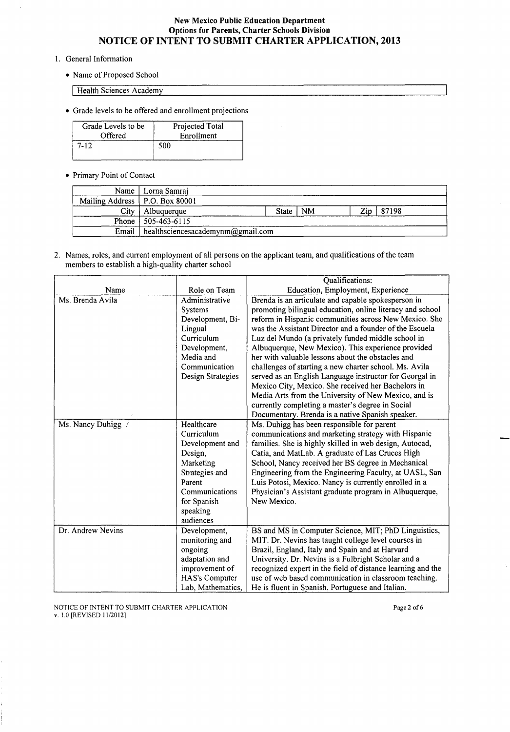- 1. General Information
	- Name of Proposed School

Health Sciences Academy

• Grade levels to be offered and enrollment projections

| Grade Levels to be | Projected Total |
|--------------------|-----------------|
| Offered            | Enrollment      |
| $7 - 12$           | 500             |

• Primary Point of Contact

| Name                             | Lorna Samraj                      |       |           |     |       |
|----------------------------------|-----------------------------------|-------|-----------|-----|-------|
| Mailing Address   P.O. Box 80001 |                                   |       |           |     |       |
| City                             | Albuquerque                       | State | <b>NM</b> | Zin | 87198 |
|                                  | Phone   $505-463-6115$            |       |           |     |       |
| Email                            | healthsciencesacademynm@gmail.com |       |           |     |       |

2. Names, roles, and current employment of all persons on the applicant team, and qualifications of the team members to establish a high-quality charter school

|                    |                       | Qualifications:                                             |
|--------------------|-----------------------|-------------------------------------------------------------|
| Name               | Role on Team          | Education, Employment, Experience                           |
| Ms. Brenda Avila   | Administrative        | Brenda is an articulate and capable spokesperson in         |
|                    | Systems               | promoting bilingual education, online literacy and school   |
|                    | Development, Bi-      | reform in Hispanic communities across New Mexico. She       |
|                    | Lingual               | was the Assistant Director and a founder of the Escuela     |
|                    | Curriculum            | Luz del Mundo (a privately funded middle school in          |
|                    | Development,          | Albuquerque, New Mexico). This experience provided          |
|                    | Media and             | her with valuable lessons about the obstacles and           |
|                    | Communication         | challenges of starting a new charter school. Ms. Avila      |
|                    | Design Strategies     | served as an English Language instructor for Georgal in     |
|                    |                       | Mexico City, Mexico. She received her Bachelors in          |
|                    |                       | Media Arts from the University of New Mexico, and is        |
|                    |                       | currently completing a master's degree in Social            |
|                    |                       | Documentary. Brenda is a native Spanish speaker.            |
| Ms. Nancy Duhigg / | Healthcare            | Ms. Duhigg has been responsible for parent                  |
|                    | Curriculum            | communications and marketing strategy with Hispanic         |
|                    | Development and       | families. She is highly skilled in web design, Autocad,     |
|                    | Design,               | Catia, and MatLab. A graduate of Las Cruces High            |
|                    | Marketing             | School, Nancy received her BS degree in Mechanical          |
|                    | Strategies and        | Engineering from the Engineering Faculty, at UASL, San      |
|                    | Parent                | Luis Potosi, Mexico. Nancy is currently enrolled in a       |
|                    | Communications        | Physician's Assistant graduate program in Albuquerque,      |
|                    | for Spanish           | New Mexico.                                                 |
|                    | speaking              |                                                             |
|                    | audiences             |                                                             |
| Dr. Andrew Nevins  | Development,          | BS and MS in Computer Science, MIT; PhD Linguistics,        |
|                    | monitoring and        | MIT. Dr. Nevins has taught college level courses in         |
|                    | ongoing               | Brazil, England, Italy and Spain and at Harvard             |
|                    | adaptation and        | University. Dr. Nevins is a Fulbright Scholar and a         |
|                    | improvement of        | recognized expert in the field of distance learning and the |
|                    | <b>HAS's Computer</b> | use of web based communication in classroom teaching.       |
|                    | Lab, Mathematics,     | He is fluent in Spanish. Portuguese and Italian.            |

NOTICE OF INTENT TO SUBMIT CHARTER APPLICATION v. 1.0 [REVISED 11/2012]

Page 2 of 6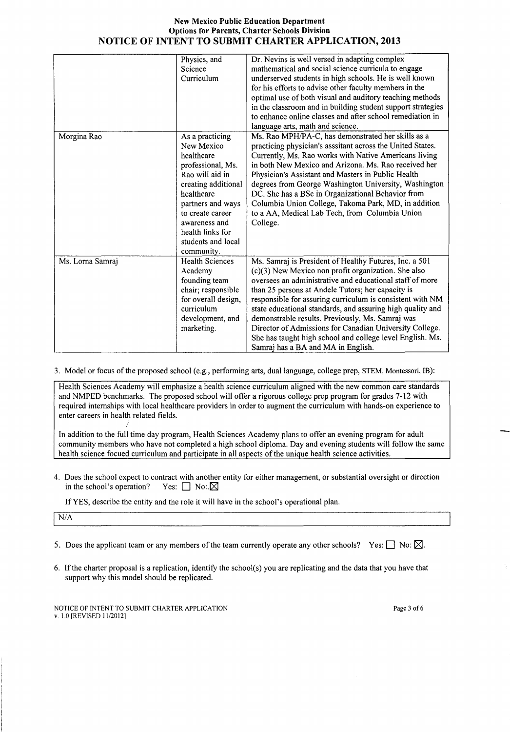|                  | Physics, and           | Dr. Nevins is well versed in adapting complex               |
|------------------|------------------------|-------------------------------------------------------------|
|                  | Science                | mathematical and social science curricula to engage         |
|                  | Curriculum             | underserved students in high schools. He is well known      |
|                  |                        | for his efforts to advise other faculty members in the      |
|                  |                        | optimal use of both visual and auditory teaching methods    |
|                  |                        | in the classroom and in building student support strategies |
|                  |                        | to enhance online classes and after school remediation in   |
|                  |                        | language arts, math and science.                            |
| Morgina Rao      | As a practicing        | Ms. Rao MPH/PA-C, has demonstrated her skills as a          |
|                  | New Mexico             | practicing physician's asssitant across the United States.  |
|                  | healthcare             | Currently, Ms. Rao works with Native Americans living       |
|                  | professional, Ms.      | in both New Mexico and Arizona. Ms. Rao received her        |
|                  | Rao will aid in        | Physician's Assistant and Masters in Public Health          |
|                  | creating additional    | degrees from George Washington University, Washington       |
|                  | healthcare             | DC. She has a BSc in Organizational Behavior from           |
|                  | partners and ways      | Columbia Union College, Takoma Park, MD, in addition        |
|                  | to create career       | to a AA, Medical Lab Tech, from Columbia Union              |
|                  | awareness and          | College.                                                    |
|                  | health links for       |                                                             |
|                  | students and local     |                                                             |
|                  | community.             |                                                             |
| Ms. Lorna Samraj | <b>Health Sciences</b> | Ms. Samraj is President of Healthy Futures, Inc. a 501      |
|                  | Academy                | (c)(3) New Mexico non profit organization. She also         |
|                  | founding team          | oversees an administrative and educational staff of more    |
|                  | chair; responsible     | than 25 persons at Andele Tutors; her capacity is           |
|                  | for overall design,    | responsible for assuring curriculum is consistent with NM   |
|                  | curriculum             | state educational standards, and assuring high quality and  |
|                  | development, and       | demonstrable results. Previously, Ms. Samraj was            |
|                  | marketing.             | Director of Admissions for Canadian University College.     |
|                  |                        | She has taught high school and college level English. Ms.   |
|                  |                        | Samraj has a BA and MA in English.                          |

3. Model or focus of the proposed school (e.g., performing arts, dual language, college prep, STEM, Montessori, IB):

Health Sciences Academy will emphasize a health science curriculum aligned with the new common care standards and NMPED benchmarks. The proposed school will offer a rigorous college prep program for grades 7-12 with required internships with local healthcare providers in order to augment the curriculum with hands-on experience to enter careers in health related fields.

In addition to the full time day program, Health Sciences Academy plans to offer an evening program for adult community members who have not completed a high school diploma. Day and evening students will follow the same health science focued curriculum and participate in all aspects of the unique health science activities.

4. Does the school expect to contract with another entity for either management, or substantial oversight or direction in the school's operation? Yes:  $\Box$  No:  $\boxtimes$ 

If YES, describe the entity and the role it will have in the school's operational plan.

N/A

- 5. Does the applicant team or any members of the team currently operate any other schools? Yes:  $\Box$  No:  $\boxtimes$ .
- 6. If the charter proposal is a replication, identify the school(s) you are replicating and the data that you have that support why this model should be replicated.

NOTICE OF INTENT TO SUBMIT CHARTER APPLICATION v. 1.0 [REVISED 1112012]

Page 3 of 6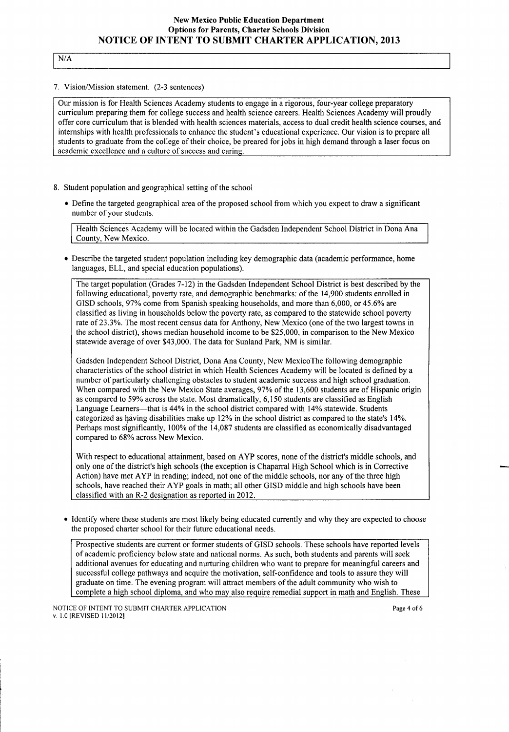# $N/A$

#### 7. Vision/Mission statement. (2-3 sentences)

Our mission is for Health Sciences Academy students to engage in a rigorous, four-year college preparatory curriculum preparing them for college success and health science careers. Health Sciences Academy will proudly offer core curriculum that is blended with health sciences materials, access to dual credit health science courses, and internships with health professionals to enhance the student's educational experience. Our vision is to prepare all students to graduate from the college of their choice, be preared for jobs in high demand through a laser focus on academic excellence and a culture of success and caring.

- 8. Student population and geographical setting of the school
	- Define the targeted geographical area of the proposed school from which you expect to draw a significant number of your students.

Health Sciences Academy will be located within the Gadsden Independent School District in Dona Ana County, New Mexico.

• Describe the targeted student population including key demographic data (academic performance, home languages, ELL, and special education populations).

The target population (Grades 7-12) in the Gadsden Independent School District is best described by the following educational, poverty rate, and demographic benchmarks: ofthe 14,900 students enrolled in GISD schools, 97% come from Spanish speaking households, and more than 6,000, or 45.6% are classified as living in households below the poverty rate, as compared to the statewide school poverty rate of23.3%. The most recent census data for Anthony, New Mexico (one of the two largest towns in the school district), shows median household income to be \$25,000, in comparison to the New Mexico statewide average of over \$43,000. The data for Sunland Park, NM is similar.

Gadsden Independent School District, Dona Ana County, New Mexico The following demographic characteristics of the school district in which Health Sciences Academy will be located is defined by a number of particularly challenging obstacles to student academic success and high school graduation. When compared with the New Mexico State averages, 97% of the 13,600 students are of Hispanic origin as compared to 59% across the state. Most dramatically, 6,150 students are classified as English Language Learners----that is 44% in the school district compared with 14% statewide. Students categorized as having disabilities make up 12% in the school district as compared to the state's 14%. Perhaps most significantly, 100% of the 14,087 students are classified as economically disadvantaged compared to 68% across New Mexico.

With respect to educational attainment, based on AYP scores, none of the district's middle schools, and only one of the district's high schools (the exception is Chaparral High School which is in Corrective Action) have met A YP in reading; indeed, not one of the middle schools, nor any of the three high schools, have reached their A YP goals in math; all other GISD middle and high schools have been classified with an R-2 designation as reported in 2012.

• Identify where these students are most likely being educated currently and why they are expected to choose the proposed charter school for their future educational needs.

Prospective students are current or former students of GISD schools. These schools have reported levels of academic proficiency below state and national norms. As such, both students and parents will seek additional avenues for educating and nurturing children who want to prepare for meaningful careers and successful college pathways and acquire the motivation, self-confidence and tools to assure they will graduate on time. The evening program will attract members of the adult community who wish to complete a high school diploma, and who may also require remedial support in math and English. These

NOTICE OF INTENT TO SUBMIT CHARTER APPLICATION v. 1.0 [REVISED 11/2012]

Page 4 of 6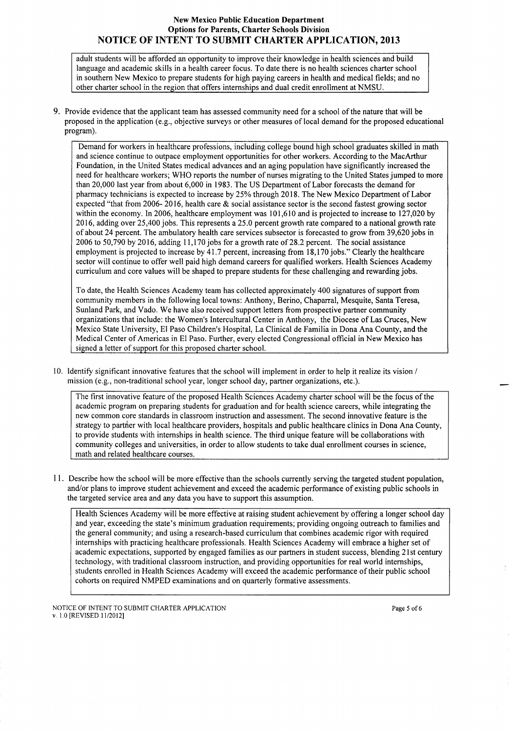adult students will be afforded an opportunity to improve their knowledge in health sciences and build language and academic skills in a health career focus. To date there is no health sciences charter school in southern New Mexico to prepare students for high paying careers in health and medical fields; and no other charter school in the region that offers internships and dual credit enrollment at NMSU.

9. Provide evidence that the applicant team has assessed community need for a school of the nature that will be proposed in the application (e.g., objective surveys or other measures of local demand for the proposed educational program).

Demand for workers in healthcare professions, including college bound high school graduates skilled in math and science continue to outpace employment opportunities for other workers. According to the MacArthur Foundation, in the United States medical advances and an aging population have significantly increased the need for healthcare workers; WHO reports the number of nurses migrating to the United States jumped to more than 20,000 last year from about 6,000 in 1983. The US Department of Labor forecasts the demand for pharmacy technicians is expected to increase by 25% through 2018. The New Mexico Department of Labor expected "that from 2006- 2016, health care & social assistance sector is the second fastest growing sector within the economy. In 2006, healthcare employment was 101,610 and is projected to increase to 127,020 by 2016, adding over 25,400 jobs. This represents a 25.0 percent growth rate compared to a national growth rate of about 24 percent. The ambulatory health care services subsector is forecasted to grow from 39,620 jobs in 2006 to 50,790 by 2016, adding 11,170 jobs for a growth rate of 28.2 percent. The social assistance employment is projected to increase by 41.7 percent, increasing from 18,170 jobs." Clearly the healthcare sector will continue to offer well paid high demand careers for qualified workers. Health Sciences Academy curriculum and core values will be shaped to prepare students for these challenging and rewarding jobs.

To date, the Health Sciences Academy team has collected approximately 400 signatures of support from community members in the following local towns: Anthony, Berino, Chaparral, Mesquite, Santa Teresa, Sunland Park, and Vado. We have also received support letters from prospective partner community organizations that include: the Women's Intercultural Center in Anthony, the Diocese of Las Cruces, New Mexico State University, El Paso Children's Hospital, La Clinical de Familia in Dona Ana County, and the Medical Center of Americas in El Paso. Further, every elected Congressional official in New Mexico has signed a letter of support for this proposed charter school.

10. Identify significant innovative features that the school will implement in order to help it realize its vision / mission (e.g., non-traditional school year, longer school day, partner organizations, etc.).

The first innovative feature of the proposed Health Sciences Academy charter school will be the focus of the academic program on preparing students for graduation and for health science careers, while integrating the new common core standards in classroom instruction and assessment. The second innovative feature is the strategy to partner with local healthcare providers, hospitals and public healthcare clinics in Dona Ana County, to provide students with internships in health science. The third unique feature will be collaborations with community colleges and universities, in order to allow students to take dual enrollment courses in science, math and related healthcare courses.

11. Describe how the school will be more effective than the schools currently serving the targeted student population, and/or plans to improve student achievement and exceed the academic performance of existing public schools in the targeted service area and any data you have to support this assumption.

Health Sciences Academy will be more effective at raising student achievement by offering a longer school day and year, exceeding the state's minimum graduation requirements; providing ongoing outreach to families and the general community; and using a research-based curriculum that combines academic rigor with required internships with practicing healthcare professionals. Health Sciences Academy will embrace a higher set of academic expectations, supported by engaged families as our partners in student success, blending 21st century technology, with traditional classroom instruction, and providing opportunities for real world internships, students enrolled in Health Sciences Academy will exceed the academic performance of their public school cohorts on required NMPED examinations and on quarterly formative assessments.

NOTICE OF INTENT TO SUBMIT CHARTER APPLICATION v. 1.0 [REVISED I 1/2012]

Page 5 of 6